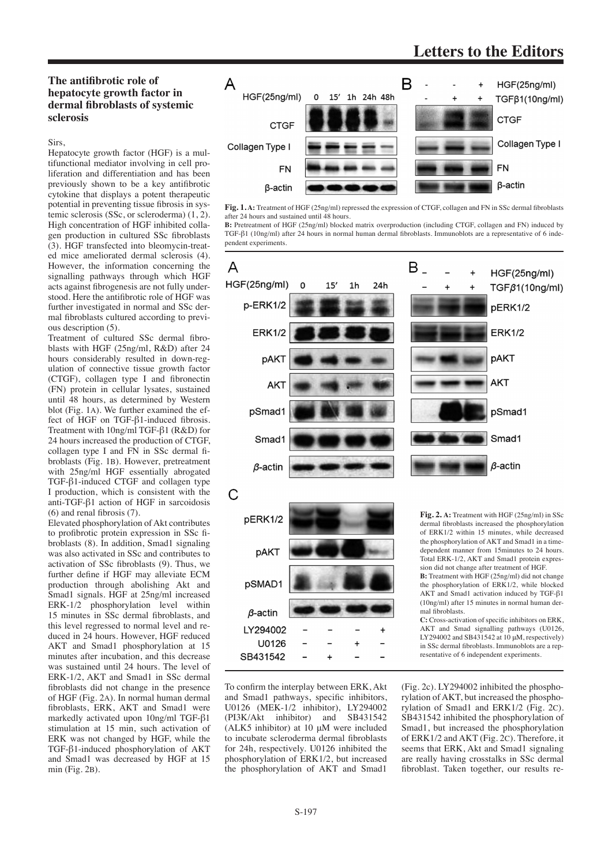## **Letters to the Editors**

### **The antifibrotic role of hepatocyte growth factor in dermal fibroblasts of systemic sclerosis**

#### Sirs,

Hepatocyte growth factor (HGF) is a multifunctional mediator involving in cell proliferation and differentiation and has been previously shown to be a key antifibrotic cytokine that displays a potent therapeutic potential in preventing tissue fibrosis in systemic sclerosis (SSc, or scleroderma) (1, 2). High concentration of HGF inhibited collagen production in cultured SSc fibroblasts (3). HGF transfected into bleomycin-treated mice ameliorated dermal sclerosis (4). However, the information concerning the signalling pathways through which HGF acts against fibrogenesis are not fully understood. Here the antifibrotic role of HGF was further investigated in normal and SSc dermal fibroblasts cultured according to previous description (5).

Treatment of cultured SSc dermal fibroblasts with HGF (25ng/ml, R&D) after 24 hours considerably resulted in down-regulation of connective tissue growth factor (CTGF), collagen type I and fibronectin (FN) protein in cellular lysates, sustained until 48 hours, as determined by Western blot (Fig. 1a). We further examined the effect of HGF on TGF-β1-induced fibrosis. Treatment with 10ng/ml TGF-β1 (R&D) for 24 hours increased the production of CTGF, collagen type I and FN in SSc dermal fibroblasts (Fig. 1B). However, pretreatment with 25ng/ml HGF essentially abrogated TGF-β1-induced CTGF and collagen type I production, which is consistent with the anti-TGF-β1 action of HGF in sarcoidosis (6) and renal fibrosis (7).

Elevated phosphorylation of Akt contributes to profibrotic protein expression in SSc fibroblasts (8). In addition, Smad1 signaling was also activated in SSc and contributes to activation of SSc fibroblasts (9). Thus, we further define if HGF may alleviate ECM production through abolishing Akt and Smad1 signals. HGF at 25ng/ml increased ERK-1/2 phosphorylation level within 15 minutes in SSc dermal fibroblasts, and this level regressed to normal level and reduced in 24 hours. However, HGF reduced AKT and Smad1 phosphorylation at 15 minutes after incubation, and this decrease was sustained until 24 hours. The level of ERK-1/2, AKT and Smad1 in SSc dermal fibroblasts did not change in the presence of HGF (Fig. 2a). In normal human dermal fibroblasts, ERK, AKT and Smad1 were markedly activated upon 10ng/ml TGF-β1 stimulation at 15 min, such activation of ERK was not changed by HGF, while the TGF-β1-induced phosphorylation of AKT and Smad1 was decreased by HGF at 15 min (Fig. 2b).



**Fig. 1. A:** Treatment of HGF (25ng/ml) repressed the expression of CTGF, collagen and FN in SSc dermal fibroblasts after 24 hours and sustained until 48 hours.

**B:** Pretreatment of HGF (25ng/ml) blocked matrix overproduction (including CTGF, collagen and FN) induced by TGF-β1 (10ng/ml) after 24 hours in normal human dermal fibroblasts. Immunoblots are a representative of 6 independent experiments.



To confirm the interplay between ERK, Akt and Smad1 pathways, specific inhibitors, U0126 (MEK-1/2 inhibitor), LY294002 (PI3K/Akt inhibitor) and SB431542 (ALK5 inhibitor) at  $10 \mu$ M were included to incubate scleroderma dermal fibroblasts for 24h, respectively. U0126 inhibited the phosphorylation of ERK1/2, but increased the phosphorylation of AKT and Smad1

(Fig. 2c). LY294002 inhibited the phosphorylation of AKT, but increased the phosphorylation of Smad1 and ERK1/2 (Fig. 2c). SB431542 inhibited the phosphorylation of Smad1, but increased the phosphorylation of ERK1/2 and AKT (Fig. 2c). Therefore, it seems that ERK, Akt and Smad1 signaling are really having crosstalks in SSc dermal fibroblast. Taken together, our results re-